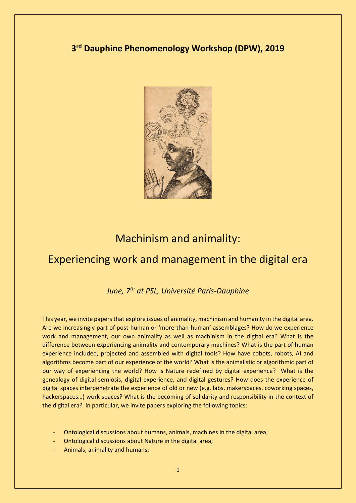### **3rd Dauphine Phenomenology Workshop (DPW), 2019**



# Machinism and animality:

# Experiencing work and management in the digital era

*June, 7th at PSL, Université Paris-Dauphine*

This year, we invite papers that explore issues of animality, machinism and humanity in the digital area. Are we increasingly part of post-human or 'more-than-human' assemblages? How do we experience work and management, our own animality as well as machinism in the digital era? What is the difference between experiencing animality and contemporary machines? What is the part of human experience included, projected and assembled with digital tools? How have cobots, robots, AI and algorithms become part of our experience of the world? What is the animalistic or algorithmic part of our way of experiencing the world? How is Nature redefined by digital experience? What is the genealogy of digital semiosis, digital experience, and digital gestures? How does the experience of digital spaces interpenetrate the experience of old or new (e.g. labs, makerspaces, coworking spaces, hackerspaces…) work spaces? What is the becoming of solidarity and responsibility in the context of the digital era? In particular, we invite papers exploring the following topics:

- Ontological discussions about humans, animals, machines in the digital area;
- Ontological discussions about Nature in the digital area;
- Animals, animality and humans;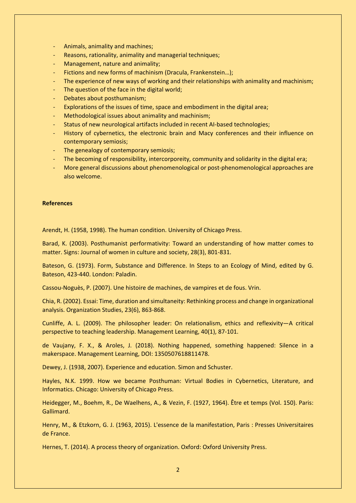- Animals, animality and machines;
- Reasons, rationality, animality and managerial techniques;
- Management, nature and animality;
- Fictions and new forms of machinism (Dracula, Frankenstein…);
- The experience of new ways of working and their relationships with animality and machinism;
- The question of the face in the digital world;
- Debates about posthumanism;
- Explorations of the issues of time, space and embodiment in the digital area;
- Methodological issues about animality and machinism;
- Status of new neurological artifacts included in recent AI-based technologies;
- History of cybernetics, the electronic brain and Macy conferences and their influence on contemporary semiosis;
- The genealogy of contemporary semiosis;
- The becoming of responsibility, intercorporeity, community and solidarity in the digital era;
- More general discussions about phenomenological or post-phenomenological approaches are also welcome.

#### **References**

Arendt, H. (1958, 1998). The human condition. University of Chicago Press.

Barad, K. (2003). Posthumanist performativity: Toward an understanding of how matter comes to matter. Signs: Journal of women in culture and society, 28(3), 801-831.

Bateson, G. (1973). Form, Substance and Difference. In Steps to an Ecology of Mind, edited by G. Bateson, 423-440. London: Paladin.

Cassou-Noguès, P. (2007). Une histoire de machines, de vampires et de fous. Vrin.

Chia, R. (2002). Essai: Time, duration and simultaneity: Rethinking process and change in organizational analysis. Organization Studies, 23(6), 863-868.

Cunliffe, A. L. (2009). The philosopher leader: On relationalism, ethics and reflexivity—A critical perspective to teaching leadership. Management Learning, 40(1), 87-101.

de Vaujany, F. X., & Aroles, J. (2018). Nothing happened, something happened: Silence in a makerspace. Management Learning, DOI: 1350507618811478.

Dewey, J. (1938, 2007). Experience and education. Simon and Schuster.

Hayles, N.K. 1999. How we became Posthuman: Virtual Bodies in Cybernetics, Literature, and Informatics. Chicago: University of Chicago Press.

Heidegger, M., Boehm, R., De Waelhens, A., & Vezin, F. (1927, 1964). Être et temps (Vol. 150). Paris: Gallimard.

Henry, M., & Etzkorn, G. J. (1963, 2015). L'essence de la manifestation, Paris : Presses Universitaires de France.

Hernes, T. (2014). A process theory of organization. Oxford: Oxford University Press.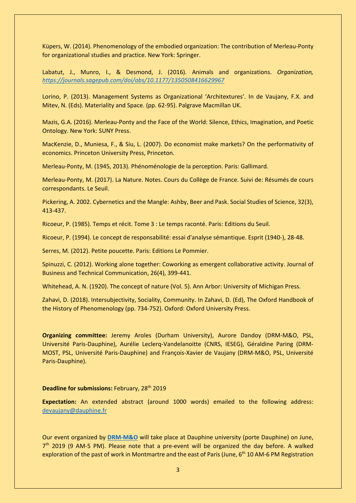Küpers, W. (2014). Phenomenology of the embodied organization: The contribution of Merleau-Ponty for organizational studies and practice. New York: Springer.

Labatut, J., Munro, I., & Desmond, J. (2016). Animals and organizations. *Organization, <https://journals.sagepub.com/doi/abs/10.1177/1350508416629967>*

Lorino, P. (2013). Management Systems as Organizational 'Architextures'. In de Vaujany, F.X. and Mitev, N. (Eds). Materiality and Space. (pp. 62-95). Palgrave Macmillan UK.

Mazis, G.A. (2016). Merleau-Ponty and the Face of the World: Silence, Ethics, Imagination, and Poetic Ontology. New York: SUNY Press.

MacKenzie, D., Muniesa, F., & Siu, L. (2007). Do economist make markets? On the performativity of economics. Princeton University Press, Princeton.

Merleau-Ponty, M. (1945, 2013). Phénoménologie de la perception. Paris: Gallimard.

Merleau-Ponty, M. (2017). La Nature. Notes. Cours du Collège de France. Suivi de: Résumés de cours correspondants. Le Seuil.

Pickering, A. 2002. Cybernetics and the Mangle: Ashby, Beer and Pask. Social Studies of Science, 32(3), 413-437.

Ricoeur, P. (1985). Temps et récit. Tome 3 : Le temps raconté. Paris: Editions du Seuil.

Ricoeur, P. (1994). Le concept de responsabilité: essai d'analyse sémantique. Esprit (1940-), 28-48.

Serres, M. (2012). Petite poucette. Paris: Editions Le Pommier.

Spinuzzi, C. (2012). Working alone together: Coworking as emergent collaborative activity. Journal of Business and Technical Communication, 26(4), 399-441.

Whitehead, A. N. (1920). The concept of nature (Vol. 5). Ann Arbor: University of Michigan Press.

Zahavi, D. (2018). Intersubjectivity, Sociality, Community. In Zahavi, D. (Ed), The Oxford Handbook of the History of Phenomenology (pp. 734-752). Oxford: Oxford University Press.

**Organizing committee:** Jeremy Aroles (Durham University), Aurore Dandoy (DRM-M&O, PSL, Université Paris-Dauphine), Aurélie Leclerq-Vandelanoitte (CNRS, IESEG), Géraldine Paring (DRM-MOST, PSL, Université Paris-Dauphine) and François-Xavier de Vaujany (DRM-M&O, PSL, Université Paris-Dauphine).

#### **Deadline for submissions:** February, 28th 2019

**Expectation:** An extended abstract (around 1000 words) emailed to the following address: [devaujany@dauphine.fr](mailto:devaujany@dauphine.fr)

Our event organized by **[DRM-M&O](https://drm.dauphine.fr/fr/mo/actualites-de-lequipe.html)** will take place at Dauphine university (porte Dauphine) on June,  $7<sup>th</sup>$  2019 (9 AM-5 PM). Please note that a pre-event will be organized the day before. A walked exploration of the past of work in Montmartre and the east of Paris (June, 6<sup>th</sup> 10 AM-6 PM Registration